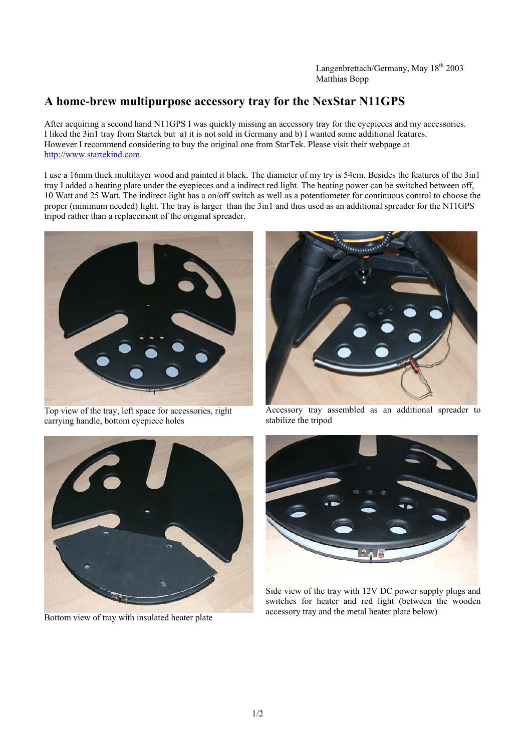Langenbrettach/Germany, May  $18<sup>th</sup> 2003$ Matthias Bopp

## **A home-brew multipurpose accessory tray for the NexStar N11GPS**

After acquiring a second hand N11GPS I was quickly missing an accessory tray for the eyepieces and my accessories. I liked the 3in1 tray from Startek but a) it is not sold in Germany and b) I wanted some additional features. However I recommend considering to buy the original one from StarTek. Please visit their webpage at http://www.startekind.com.

I use a 16mm thick multilayer wood and painted it black. The diameter of my try is 54cm. Besides the features of the 3in1 tray I added a heating plate under the eyepieces and a indirect red light. The heating power can be switched between off, 10 Watt and 25 Watt. The indirect light has a on/off switch as well as a potentiometer for continuous control to choose the proper (minimum needed) light. The tray is larger than the 3in1 and thus used as an additional spreader for the N11GPS tripod rather than a replacement of the original spreader.



Top view of the tray, left space for accessories, right carrying handle, bottom eyepiece holes



Accessory tray assembled as an additional spreader to stabilize the tripod



Bottom view of tray with insulated heater plate



Side view of the tray with 12V DC power supply plugs and switches for heater and red light (between the wooden accessory tray and the metal heater plate below)